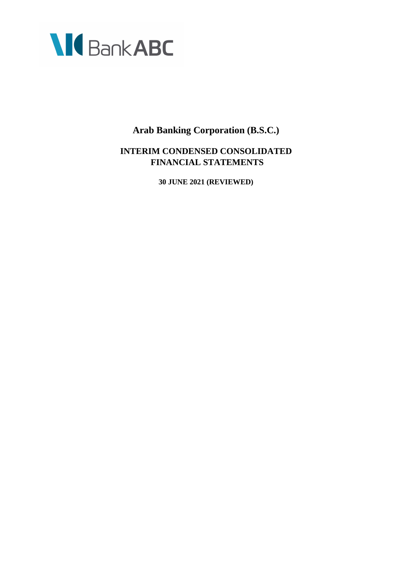

# **INTERIM CONDENSED CONSOLIDATED FINANCIAL STATEMENTS**

**30 JUNE 2021 (REVIEWED)**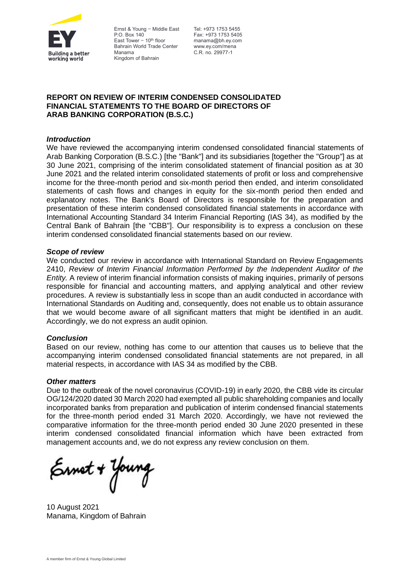

Ernst & Young — Middle East Tel: +973 1753 5455 P.O. Box 140 East Tower  $-10<sup>th</sup>$  floor Bahrain World Trade Center Manama Kingdom of Bahrain

Fax: +973 1753 5405 manama@bh.ey.com www.ey.com/mena C.R. no. 29977-1

# **REPORT ON REVIEW OF INTERIM CONDENSED CONSOLIDATED FINANCIAL STATEMENTS TO THE BOARD OF DIRECTORS OF ARAB BANKING CORPORATION (B.S.C.)**

# *Introduction*

We have reviewed the accompanying interim condensed consolidated financial statements of Arab Banking Corporation (B.S.C.) [the "Bank"] and its subsidiaries [together the "Group"] as at 30 June 2021, comprising of the interim consolidated statement of financial position as at 30 June 2021 and the related interim consolidated statements of profit or loss and comprehensive income for the three-month period and six-month period then ended, and interim consolidated statements of cash flows and changes in equity for the six-month period then ended and explanatory notes. The Bank's Board of Directors is responsible for the preparation and presentation of these interim condensed consolidated financial statements in accordance with International Accounting Standard 34 Interim Financial Reporting (IAS 34), as modified by the Central Bank of Bahrain [the "CBB"]. Our responsibility is to express a conclusion on these interim condensed consolidated financial statements based on our review.

## *Scope of review*

We conducted our review in accordance with International Standard on Review Engagements 2410, *Review of Interim Financial Information Performed by the Independent Auditor of the Entity.* A review of interim financial information consists of making inquiries, primarily of persons responsible for financial and accounting matters, and applying analytical and other review procedures. A review is substantially less in scope than an audit conducted in accordance with International Standards on Auditing and, consequently, does not enable us to obtain assurance that we would become aware of all significant matters that might be identified in an audit. Accordingly, we do not express an audit opinion.

## *Conclusion*

Based on our review, nothing has come to our attention that causes us to believe that the accompanying interim condensed consolidated financial statements are not prepared, in all material respects, in accordance with IAS 34 as modified by the CBB.

## *Other matters*

Due to the outbreak of the novel coronavirus (COVID-19) in early 2020, the CBB vide its circular OG/124/2020 dated 30 March 2020 had exempted all public shareholding companies and locally incorporated banks from preparation and publication of interim condensed financial statements for the three-month period ended 31 March 2020. Accordingly, we have not reviewed the comparative information for the three-month period ended 30 June 2020 presented in these interim condensed consolidated financial information which have been extracted from management accounts and, we do not express any review conclusion on them.

Ernet + Young

10 August 2021 Manama, Kingdom of Bahrain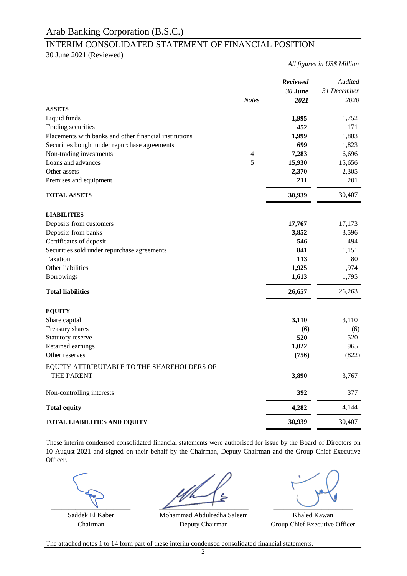# INTERIM CONSOLIDATED STATEMENT OF FINANCIAL POSITION

30 June 2021 (Reviewed)

*All figures in US\$ Million*

|                                                        |                | <b>Reviewed</b><br>30 June | Audited<br>31 December |
|--------------------------------------------------------|----------------|----------------------------|------------------------|
|                                                        | <b>Notes</b>   | 2021                       | 2020                   |
| <b>ASSETS</b>                                          |                |                            |                        |
| Liquid funds                                           |                | 1,995                      | 1,752                  |
| Trading securities                                     |                | 452                        | 171                    |
| Placements with banks and other financial institutions |                | 1,999                      | 1,803                  |
| Securities bought under repurchase agreements          |                | 699                        | 1,823                  |
| Non-trading investments                                | $\overline{4}$ | 7,283                      | 6,696                  |
| Loans and advances                                     | 5              | 15,930                     | 15,656                 |
| Other assets                                           |                | 2,370                      | 2,305                  |
| Premises and equipment                                 |                | 211                        | 201                    |
| <b>TOTAL ASSETS</b>                                    |                | 30,939                     | 30,407                 |
| <b>LIABILITIES</b>                                     |                |                            |                        |
| Deposits from customers                                |                | 17,767                     | 17,173                 |
| Deposits from banks                                    |                | 3,852                      | 3,596                  |
| Certificates of deposit                                |                | 546                        | 494                    |
| Securities sold under repurchase agreements            |                | 841                        | 1,151                  |
| Taxation                                               |                | 113                        | 80                     |
| Other liabilities                                      |                | 1,925                      | 1,974                  |
| <b>Borrowings</b>                                      |                | 1,613                      | 1,795                  |
|                                                        |                |                            |                        |
| <b>Total liabilities</b>                               |                | 26,657                     | 26,263                 |
| <b>EQUITY</b>                                          |                |                            |                        |
| Share capital                                          |                | 3,110                      | 3,110                  |
| Treasury shares                                        |                | (6)                        | (6)                    |
| Statutory reserve                                      |                | 520                        | 520                    |
| Retained earnings                                      |                | 1,022                      | 965                    |
| Other reserves                                         |                | (756)                      | (822)                  |
| EQUITY ATTRIBUTABLE TO THE SHAREHOLDERS OF             |                |                            |                        |
| <b>THE PARENT</b>                                      |                | 3,890                      | 3,767                  |
| Non-controlling interests                              |                | 392                        | 377                    |
| <b>Total equity</b>                                    |                | 4,282                      | 4,144                  |
| <b>TOTAL LIABILITIES AND EQUITY</b>                    |                | 30,939                     | 30,407                 |

These interim condensed consolidated financial statements were authorised for issue by the Board of Directors on 10 August 2021 and signed on their behalf by the Chairman, Deputy Chairman and the Group Chief Executive Officer.

 $\overline{\phantom{a}}$  ,  $\overline{\phantom{a}}$  ,  $\overline{\phantom{a}}$  ,  $\overline{\phantom{a}}$  ,  $\overline{\phantom{a}}$  ,  $\overline{\phantom{a}}$ 

Saddek El Kaber **Khaled Kawan** Mohammad Abdulredha Saleem **Khaled Kawan** Chairman Deputy Chairman Group Chief Executive Officer Deputy Chairman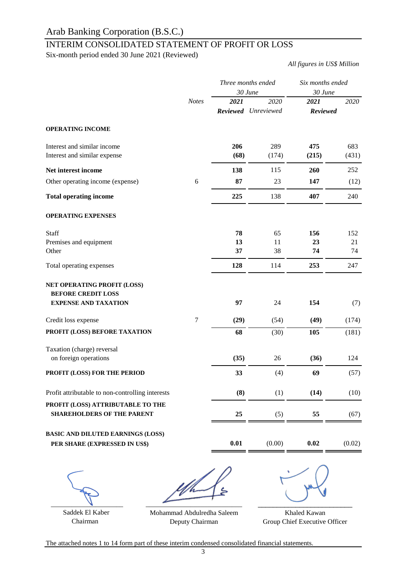# INTERIM CONSOLIDATED STATEMENT OF PROFIT OR LOSS

Six-month period ended 30 June 2021 (Reviewed)

*All figures in US\$ Million*

|                                                                                         |              |                | Three months ended<br>30 June | Six months ended<br>30 June |                 |
|-----------------------------------------------------------------------------------------|--------------|----------------|-------------------------------|-----------------------------|-----------------|
|                                                                                         | <b>Notes</b> | 2021           | 2020<br>Reviewed Unreviewed   | 2021<br><b>Reviewed</b>     | 2020            |
| <b>OPERATING INCOME</b>                                                                 |              |                |                               |                             |                 |
| Interest and similar income<br>Interest and similar expense                             |              | 206<br>(68)    | 289<br>(174)                  | 475<br>(215)                | 683<br>(431)    |
| Net interest income                                                                     |              | 138            | 115                           | 260                         | 252             |
| Other operating income (expense)                                                        | 6            | 87             | 23                            | 147                         | (12)            |
| <b>Total operating income</b>                                                           |              | 225            | 138                           | 407                         | 240             |
| <b>OPERATING EXPENSES</b>                                                               |              |                |                               |                             |                 |
| Staff<br>Premises and equipment<br>Other                                                |              | 78<br>13<br>37 | 65<br>11<br>38                | 156<br>23<br>74             | 152<br>21<br>74 |
| Total operating expenses                                                                |              | 128            | 114                           | 253                         | 247             |
| NET OPERATING PROFIT (LOSS)<br><b>BEFORE CREDIT LOSS</b><br><b>EXPENSE AND TAXATION</b> |              | 97             | 24                            | 154                         | (7)             |
| Credit loss expense                                                                     | $\tau$       | (29)           | (54)                          | (49)                        | (174)           |
| PROFIT (LOSS) BEFORE TAXATION                                                           |              | 68             | (30)                          | 105                         | (181)           |
| Taxation (charge) reversal<br>on foreign operations                                     |              | (35)           | 26                            | (36)                        | 124             |
| PROFIT (LOSS) FOR THE PERIOD                                                            |              | 33             | (4)                           | 69                          | (57)            |
| Profit attributable to non-controlling interests                                        |              | (8)            | (1)                           | (14)                        | (10)            |
| PROFIT (LOSS) ATTRIBUTABLE TO THE<br><b>SHAREHOLDERS OF THE PARENT</b>                  |              | 25             | (5)                           | 55                          | (67)            |
| <b>BASIC AND DILUTED EARNINGS (LOSS)</b><br>PER SHARE (EXPRESSED IN US\$)               |              | 0.01           | (0.00)                        | 0.02                        | (0.02)          |
|                                                                                         |              |                |                               |                             |                 |

 $\overline{\phantom{a}}$ 

 $\overbrace{\phantom{aaaaa}}^{x}$ 

\_\_\_\_\_\_\_\_\_\_\_\_\_\_\_\_\_\_\_\_\_\_\_\_\_

 Saddek El Kaber Chairman

Mohammad Abdulredha Saleem Deputy Chairman

Khaled Kawan Group Chief Executive Officer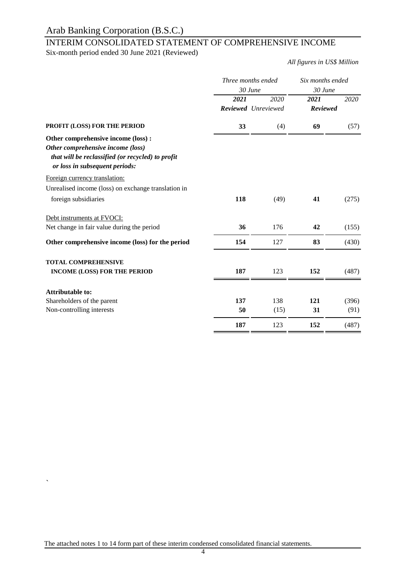# INTERIM CONSOLIDATED STATEMENT OF COMPREHENSIVE INCOME

Six-month period ended 30 June 2021 (Reviewed)

*All figures in US\$ Million*

| Three months ended |      | Six months ended    |          |  |
|--------------------|------|---------------------|----------|--|
| 30 June            |      | 30 June             |          |  |
| 2021               | 2020 | 2021                | 2020     |  |
|                    |      |                     |          |  |
| 33                 | (4)  | 69                  | (57)     |  |
|                    |      |                     |          |  |
|                    |      |                     |          |  |
|                    |      |                     |          |  |
|                    |      |                     |          |  |
|                    |      |                     |          |  |
|                    |      |                     |          |  |
| 118                | (49) | 41                  | (275)    |  |
|                    |      |                     |          |  |
|                    |      |                     |          |  |
| 36                 | 176  | 42                  | (155)    |  |
| 154                | 127  | 83                  | (430)    |  |
|                    |      |                     |          |  |
|                    |      |                     |          |  |
| 187                | 123  | 152                 | (487)    |  |
|                    |      |                     |          |  |
|                    |      |                     |          |  |
| 137                | 138  | 121                 | (396)    |  |
| 50                 | (15) | 31                  | (91)     |  |
| 187                | 123  | 152                 | (487)    |  |
|                    |      | Reviewed Unreviewed | Reviewed |  |

The attached notes 1 to 14 form part of these interim condensed consolidated financial statements.

`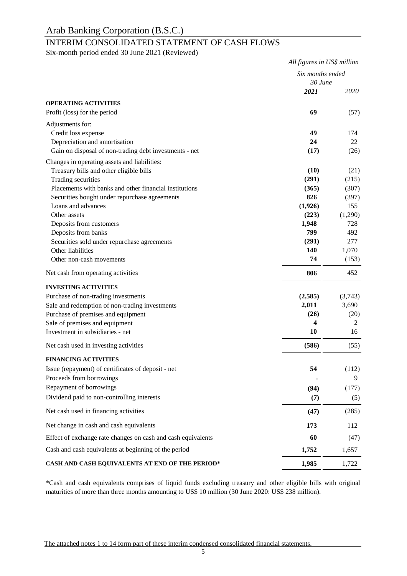# INTERIM CONSOLIDATED STATEMENT OF CASH FLOWS

Six-month period ended 30 June 2021 (Reviewed)

|                                                                    | All figures in US\$ million |            |
|--------------------------------------------------------------------|-----------------------------|------------|
|                                                                    | Six months ended<br>30 June |            |
|                                                                    | 2021                        | 2020       |
| <b>OPERATING ACTIVITIES</b>                                        |                             |            |
| Profit (loss) for the period                                       | 69                          | (57)       |
| Adjustments for:                                                   |                             |            |
| Credit loss expense                                                | 49                          | 174        |
| Depreciation and amortisation                                      | 24                          | 22         |
| Gain on disposal of non-trading debt investments - net             | (17)                        | (26)       |
| Changes in operating assets and liabilities:                       |                             |            |
| Treasury bills and other eligible bills                            | (10)                        | (21)       |
| Trading securities                                                 | (291)                       | (215)      |
| Placements with banks and other financial institutions             | (365)                       | (307)      |
| Securities bought under repurchase agreements                      | 826                         | (397)      |
| Loans and advances                                                 | (1,926)                     | 155        |
| Other assets                                                       | (223)                       | (1,290)    |
| Deposits from customers                                            | 1,948                       | 728        |
| Deposits from banks<br>Securities sold under repurchase agreements | 799<br>(291)                | 492<br>277 |
| Other liabilities                                                  | 140                         | 1,070      |
| Other non-cash movements                                           | 74                          | (153)      |
| Net cash from operating activities                                 | 806                         | 452        |
| <b>INVESTING ACTIVITIES</b>                                        |                             |            |
| Purchase of non-trading investments                                | (2,585)                     | (3,743)    |
| Sale and redemption of non-trading investments                     | 2,011                       | 3,690      |
| Purchase of premises and equipment                                 | (26)                        | (20)       |
| Sale of premises and equipment                                     | 4                           | 2          |
| Investment in subsidiaries - net                                   | 10                          | 16         |
| Net cash used in investing activities                              | (586)                       | (55)       |
| <b>FINANCING ACTIVITIES</b>                                        |                             |            |
| Issue (repayment) of certificates of deposit - net                 | 54                          | (112)      |
| Proceeds from borrowings                                           |                             | 9          |
| Repayment of borrowings                                            | (94)                        | (177)      |
| Dividend paid to non-controlling interests                         | (7)                         | (5)        |
| Net cash used in financing activities                              | (47)                        | (285)      |
| Net change in cash and cash equivalents                            | 173                         | 112        |
| Effect of exchange rate changes on cash and cash equivalents       | 60                          | (47)       |
| Cash and cash equivalents at beginning of the period               | 1,752                       | 1,657      |
| CASH AND CASH EQUIVALENTS AT END OF THE PERIOD*                    | 1,985                       | 1,722      |

\*Cash and cash equivalents comprises of liquid funds excluding treasury and other eligible bills with original maturities of more than three months amounting to US\$ 10 million (30 June 2020: US\$ 238 million).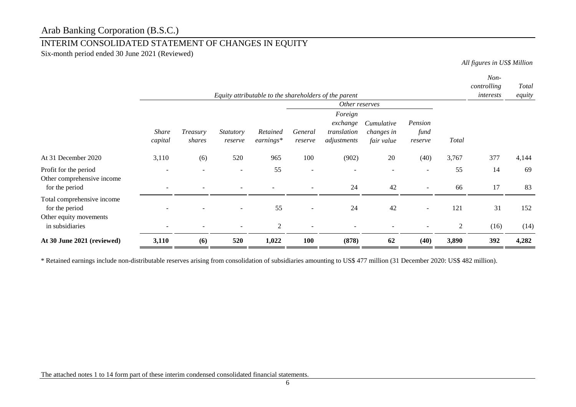# INTERIM CONSOLIDATED STATEMENT OF CHANGES IN EQUITY

Six-month period ended 30 June 2021 (Reviewed)

*All figures in US\$ Million*

*Non-*

| Equity attributable to the shareholders of the parent                  |                         |                    |                             |                         |                    |                                                   |                                        | controlling<br>interests   | Total<br>equity         |             |               |  |
|------------------------------------------------------------------------|-------------------------|--------------------|-----------------------------|-------------------------|--------------------|---------------------------------------------------|----------------------------------------|----------------------------|-------------------------|-------------|---------------|--|
|                                                                        |                         |                    |                             |                         |                    | Other reserves                                    |                                        |                            |                         |             |               |  |
|                                                                        | <b>Share</b><br>capital | Treasury<br>shares | <b>Statutory</b><br>reserve | Retained<br>$earnings*$ | General<br>reserve | Foreign<br>exchange<br>translation<br>adjustments | Cumulative<br>changes in<br>fair value | Pension<br>fund<br>reserve | Total                   |             |               |  |
| At 31 December 2020                                                    | 3,110                   | (6)                | 520                         | 965                     | 100                | (902)                                             | 20                                     | (40)                       | 3,767                   | 377         | 4,144         |  |
| Profit for the period<br>Other comprehensive income<br>for the period  |                         |                    | $\overline{\phantom{0}}$    | 55                      |                    | 24                                                | 42                                     |                            | 55<br>66                | 14<br>17    | 69<br>83      |  |
| Total comprehensive income<br>for the period<br>Other equity movements |                         |                    |                             | 55                      |                    | 24                                                | 42                                     |                            | 121                     | 31          | 152           |  |
| in subsidiaries<br>At 30 June 2021 (reviewed)                          | 3,110                   | (6)                | 520                         | 2<br>1,022              | 100                | (878)                                             | 62                                     | (40)                       | $\overline{2}$<br>3,890 | (16)<br>392 | (14)<br>4,282 |  |

\* Retained earnings include non-distributable reserves arising from consolidation of subsidiaries amounting to US\$ 477 million (31 December 2020: US\$ 482 million).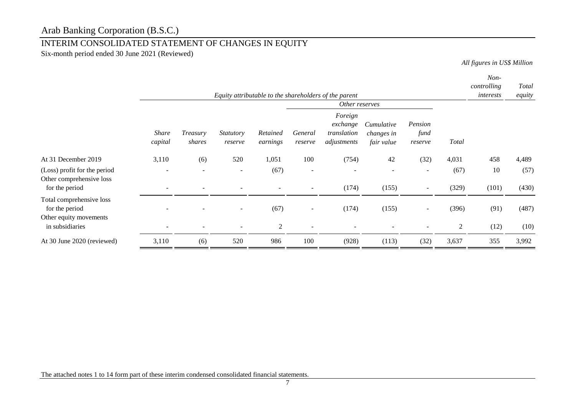# INTERIM CONSOLIDATED STATEMENT OF CHANGES IN EQUITY

Six-month period ended 30 June 2021 (Reviewed)

*All figures in US\$ Million*

*Non-*

|                                                          |                         |                          |                             |                      |                          | Equity attributable to the shareholders of the parent |                                        |                            |                | controlling<br>interests | Total<br>equity |
|----------------------------------------------------------|-------------------------|--------------------------|-----------------------------|----------------------|--------------------------|-------------------------------------------------------|----------------------------------------|----------------------------|----------------|--------------------------|-----------------|
|                                                          | Other reserves          |                          |                             |                      |                          |                                                       |                                        |                            |                |                          |                 |
|                                                          | <b>Share</b><br>capital | Treasury<br>shares       | <b>Statutory</b><br>reserve | Retained<br>earnings | General<br>reserve       | Foreign<br>exchange<br>translation<br>adjustments     | Cumulative<br>changes in<br>fair value | Pension<br>fund<br>reserve | <b>Total</b>   |                          |                 |
| At 31 December 2019                                      | 3,110                   | (6)                      | 520                         | 1,051                | 100                      | (754)                                                 | 42                                     | (32)                       | 4,031          | 458                      | 4,489           |
| (Loss) profit for the period<br>Other comprehensive loss |                         | $\overline{\phantom{a}}$ | $\overline{\phantom{a}}$    | (67)                 | $\overline{\phantom{a}}$ |                                                       |                                        | $\overline{\phantom{a}}$   | (67)           | 10                       | (57)            |
| for the period                                           |                         |                          |                             |                      |                          | (174)                                                 | (155)                                  | $\overline{\phantom{a}}$   | (329)          | (101)                    | (430)           |
| Total comprehensive loss<br>for the period               |                         |                          | $\overline{\phantom{0}}$    | (67)                 | $\overline{\phantom{a}}$ | (174)                                                 | (155)                                  | $\overline{\phantom{a}}$   | (396)          | (91)                     | (487)           |
| Other equity movements<br>in subsidiaries                |                         | $\overline{\phantom{a}}$ | $\overline{\phantom{a}}$    | $\overline{2}$       | $\overline{\phantom{a}}$ |                                                       |                                        | $\overline{\phantom{a}}$   | $\overline{2}$ | (12)                     | (10)            |
| At 30 June 2020 (reviewed)                               | 3,110                   | (6)                      | 520                         | 986                  | 100                      | (928)                                                 | (113)                                  | (32)                       | 3,637          | 355                      | 3,992           |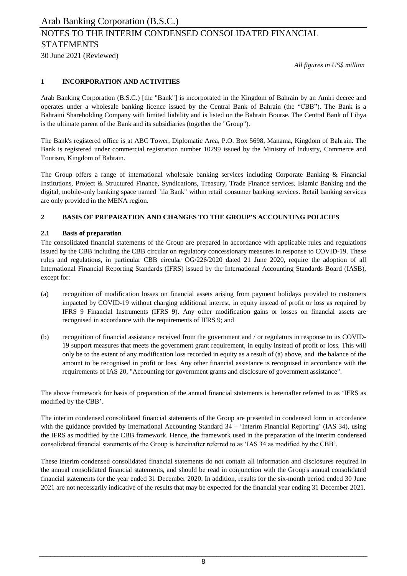30 June 2021 (Reviewed)

*All figures in US\$ million*

### **1 INCORPORATION AND ACTIVITIES**

Arab Banking Corporation (B.S.C.) [the "Bank"] is incorporated in the Kingdom of Bahrain by an Amiri decree and operates under a wholesale banking licence issued by the Central Bank of Bahrain (the "CBB"). The Bank is a Bahraini Shareholding Company with limited liability and is listed on the Bahrain Bourse. The Central Bank of Libya is the ultimate parent of the Bank and its subsidiaries (together the "Group").

The Bank's registered office is at ABC Tower, Diplomatic Area, P.O. Box 5698, Manama, Kingdom of Bahrain. The Bank is registered under commercial registration number 10299 issued by the Ministry of Industry, Commerce and Tourism, Kingdom of Bahrain.

The Group offers a range of international wholesale banking services including Corporate Banking & Financial Institutions, Project & Structured Finance, Syndications, Treasury, Trade Finance services, Islamic Banking and the digital, mobile-only banking space named "ila Bank" within retail consumer banking services. Retail banking services are only provided in the MENA region.

## **2 BASIS OF PREPARATION AND CHANGES TO THE GROUP'S ACCOUNTING POLICIES**

### **2.1 Basis of preparation**

The consolidated financial statements of the Group are prepared in accordance with applicable rules and regulations issued by the CBB including the CBB circular on regulatory concessionary measures in response to COVID-19. These rules and regulations, in particular CBB circular OG/226/2020 dated 21 June 2020, require the adoption of all International Financial Reporting Standards (IFRS) issued by the International Accounting Standards Board (IASB), except for:

- (a) recognition of modification losses on financial assets arising from payment holidays provided to customers impacted by COVID-19 without charging additional interest, in equity instead of profit or loss as required by IFRS 9 Financial Instruments (IFRS 9). Any other modification gains or losses on financial assets are recognised in accordance with the requirements of IFRS 9; and
- (b) recognition of financial assistance received from the government and / or regulators in response to its COVID-19 support measures that meets the government grant requirement, in equity instead of profit or loss. This will only be to the extent of any modification loss recorded in equity as a result of (a) above, and the balance of the amount to be recognised in profit or loss. Any other financial assistance is recognised in accordance with the requirements of IAS 20, "Accounting for government grants and disclosure of government assistance".

The above framework for basis of preparation of the annual financial statements is hereinafter referred to as 'IFRS as modified by the CBB'.

The interim condensed consolidated financial statements of the Group are presented in condensed form in accordance with the guidance provided by International Accounting Standard 34 – 'Interim Financial Reporting' (IAS 34), using the IFRS as modified by the CBB framework. Hence, the framework used in the preparation of the interim condensed consolidated financial statements of the Group is hereinafter referred to as 'IAS 34 as modified by the CBB'.

These interim condensed consolidated financial statements do not contain all information and disclosures required in the annual consolidated financial statements, and should be read in conjunction with the Group's annual consolidated financial statements for the year ended 31 December 2020. In addition, results for the six-month period ended 30 June 2021 are not necessarily indicative of the results that may be expected for the financial year ending 31 December 2021.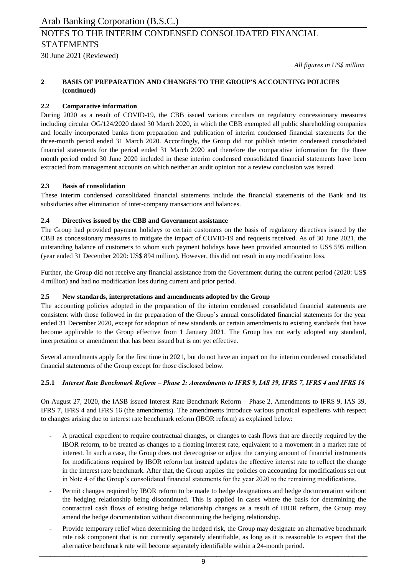30 June 2021 (Reviewed)

*All figures in US\$ million*

#### **2 BASIS OF PREPARATION AND CHANGES TO THE GROUP'S ACCOUNTING POLICIES (continued)**

### **2.2 Comparative information**

During 2020 as a result of COVID-19, the CBB issued various circulars on regulatory concessionary measures including circular OG/124/2020 dated 30 March 2020, in which the CBB exempted all public shareholding companies and locally incorporated banks from preparation and publication of interim condensed financial statements for the three-month period ended 31 March 2020. Accordingly, the Group did not publish interim condensed consolidated financial statements for the period ended 31 March 2020 and therefore the comparative information for the three month period ended 30 June 2020 included in these interim condensed consolidated financial statements have been extracted from management accounts on which neither an audit opinion nor a review conclusion was issued.

### **2.3 Basis of consolidation**

These interim condensed consolidated financial statements include the financial statements of the Bank and its subsidiaries after elimination of inter-company transactions and balances.

### **2.4 Directives issued by the CBB and Government assistance**

The Group had provided payment holidays to certain customers on the basis of regulatory directives issued by the CBB as concessionary measures to mitigate the impact of COVID-19 and requests received. As of 30 June 2021, the outstanding balance of customers to whom such payment holidays have been provided amounted to US\$ 595 million (year ended 31 December 2020: US\$ 894 million). However, this did not result in any modification loss.

Further, the Group did not receive any financial assistance from the Government during the current period (2020: US\$ 4 million) and had no modification loss during current and prior period.

### **2.5 New standards, interpretations and amendments adopted by the Group**

The accounting policies adopted in the preparation of the interim condensed consolidated financial statements are consistent with those followed in the preparation of the Group's annual consolidated financial statements for the year ended 31 December 2020, except for adoption of new standards or certain amendments to existing standards that have become applicable to the Group effective from 1 January 2021. The Group has not early adopted any standard, interpretation or amendment that has been issued but is not yet effective.

Several amendments apply for the first time in 2021, but do not have an impact on the interim condensed consolidated financial statements of the Group except for those disclosed below.

#### **2.5.1** *Interest Rate Benchmark Reform – Phase 2: Amendments to IFRS 9, IAS 39, IFRS 7, IFRS 4 and IFRS 16*

On August 27, 2020, the IASB issued Interest Rate Benchmark Reform – Phase 2, Amendments to IFRS 9, IAS 39, IFRS 7, IFRS 4 and IFRS 16 (the amendments). The amendments introduce various practical expedients with respect to changes arising due to interest rate benchmark reform (IBOR reform) as explained below:

- A practical expedient to require contractual changes, or changes to cash flows that are directly required by the IBOR reform, to be treated as changes to a floating interest rate, equivalent to a movement in a market rate of interest. In such a case, the Group does not derecognise or adjust the carrying amount of financial instruments for modifications required by IBOR reform but instead updates the effective interest rate to reflect the change in the interest rate benchmark. After that, the Group applies the policies on accounting for modifications set out in Note 4 of the Group's consolidated financial statements for the year 2020 to the remaining modifications.
- Permit changes required by IBOR reform to be made to hedge designations and hedge documentation without the hedging relationship being discontinued. This is applied in cases where the basis for determining the contractual cash flows of existing hedge relationship changes as a result of IBOR reform, the Group may amend the hedge documentation without discontinuing the hedging relationship.
- Provide temporary relief when determining the hedged risk, the Group may designate an alternative benchmark rate risk component that is not currently separately identifiable, as long as it is reasonable to expect that the alternative benchmark rate will become separately identifiable within a 24-month period. \_\_\_\_\_\_\_\_\_\_\_\_\_\_\_\_\_\_\_\_\_\_\_\_\_\_\_\_\_\_\_\_\_\_\_\_\_\_\_\_\_\_\_\_\_\_\_\_\_\_\_\_\_\_\_\_\_\_\_\_\_\_\_\_\_\_\_\_\_\_\_\_\_\_\_\_\_\_\_\_\_\_\_\_\_\_\_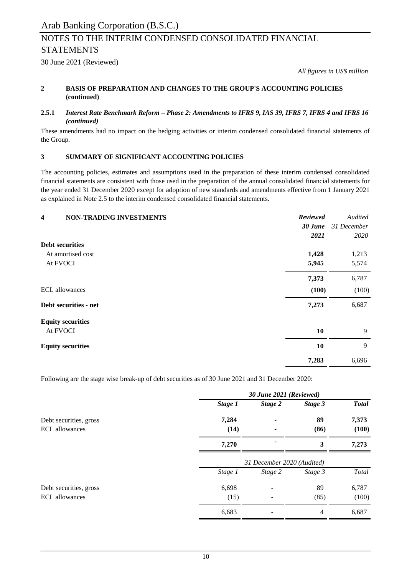30 June 2021 (Reviewed)

*All figures in US\$ million*

#### **2 BASIS OF PREPARATION AND CHANGES TO THE GROUP'S ACCOUNTING POLICIES (continued)**

#### **2.5.1** Interest Rate Benchmark Reform - Phase 2: Amendments to IFRS 9, IAS 39, IFRS 7, IFRS 4 and IFRS 16 *(continued)*

These amendments had no impact on the hedging activities or interim condensed consolidated financial statements of the Group.

# **3 SUMMARY OF SIGNIFICANT ACCOUNTING POLICIES**

The accounting policies, estimates and assumptions used in the preparation of these interim condensed consolidated financial statements are consistent with those used in the preparation of the annual consolidated financial statements for the year ended 31 December 2020 except for adoption of new standards and amendments effective from 1 January 2021 as explained in Note 2.5 to the interim condensed consolidated financial statements.

| <b>Reviewed</b><br><b>NON-TRADING INVESTMENTS</b><br>$\overline{\mathbf{4}}$ | Audited     |
|------------------------------------------------------------------------------|-------------|
| 30 June                                                                      | 31 December |
| 2021                                                                         | 2020        |
| <b>Debt securities</b>                                                       |             |
| 1,428<br>At amortised cost                                                   | 1,213       |
| At FVOCI<br>5,945                                                            | 5,574       |
| 7,373                                                                        | 6,787       |
| <b>ECL</b> allowances<br>(100)                                               | (100)       |
| Debt securities - net<br>7,273                                               | 6,687       |
| <b>Equity securities</b>                                                     |             |
| At FVOCI<br>10                                                               | 9           |
| 10<br><b>Equity securities</b>                                               | 9           |
| 7,283                                                                        | 6,696       |

Following are the stage wise break-up of debt securities as of 30 June 2021 and 31 December 2020:

|                        | 30 June 2021 (Reviewed) |                            |         |              |  |
|------------------------|-------------------------|----------------------------|---------|--------------|--|
|                        | Stage 1                 | Stage 2                    | Stage 3 | <b>Total</b> |  |
| Debt securities, gross | 7,284                   | ٠                          | 89      | 7,373        |  |
| <b>ECL</b> allowances  | (14)                    |                            | (86)    | (100)        |  |
|                        | 7,270                   |                            | 3       | 7,273        |  |
|                        |                         | 31 December 2020 (Audited) |         |              |  |
|                        | Stage 1                 | Stage 2                    | Stage 3 | Total        |  |
| Debt securities, gross | 6,698                   |                            | 89      | 6,787        |  |
| <b>ECL</b> allowances  | (15)                    | $\overline{\phantom{a}}$   | (85)    | (100)        |  |
|                        | 6,683                   |                            | 4       | 6,687        |  |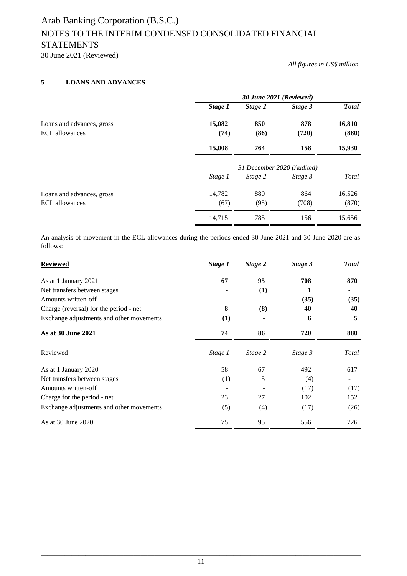# NOTES TO THE INTERIM CONDENSED CONSOLIDATED FINANCIAL STATEMENTS

30 June 2021 (Reviewed)

*All figures in US\$ million*

# **5 LOANS AND ADVANCES**

|                                                    | 30 June 2021 (Reviewed) |                            |              |                 |  |
|----------------------------------------------------|-------------------------|----------------------------|--------------|-----------------|--|
|                                                    | Stage 1                 | Stage 2                    | Stage 3      | <b>Total</b>    |  |
| Loans and advances, gross<br><b>ECL</b> allowances | 15,082<br>(74)          | 850<br>(86)                | 878<br>(720) | 16,810<br>(880) |  |
|                                                    | 15,008                  | 764                        | 158          | 15,930          |  |
|                                                    |                         | 31 December 2020 (Audited) |              |                 |  |
|                                                    | Stage 1                 | Stage 2                    | Stage 3      | Total           |  |
| Loans and advances, gross                          | 14,782                  | 880                        | 864          | 16,526          |  |
| <b>ECL</b> allowances                              | (67)                    | (95)                       | (708)        | (870)           |  |
|                                                    | 14,715                  | 785                        | 156          | 15,656          |  |

An analysis of movement in the ECL allowances during the periods ended 30 June 2021 and 30 June 2020 are as follows:

| <b>Reviewed</b>                          | Stage 1 | Stage 2 | Stage 3 | <b>Total</b> |
|------------------------------------------|---------|---------|---------|--------------|
| As at 1 January 2021                     | 67      | 95      | 708     | 870          |
| Net transfers between stages             |         | (1)     | 1       |              |
| Amounts written-off                      |         |         | (35)    | (35)         |
| Charge (reversal) for the period - net   | 8       | (8)     | 40      | 40           |
| Exchange adjustments and other movements | (1)     |         | 6       | 5            |
| As at 30 June 2021                       | 74      | 86      | 720     | 880          |
| Reviewed                                 | Stage 1 | Stage 2 | Stage 3 | Total        |
| As at 1 January 2020                     | 58      | 67      | 492     | 617          |
| Net transfers between stages             | (1)     | 5       | (4)     |              |
| Amounts written-off                      |         |         | (17)    | (17)         |
| Charge for the period - net              | 23      | 27      | 102     | 152          |
| Exchange adjustments and other movements | (5)     | (4)     | (17)    | (26)         |
| As at 30 June 2020                       | 75      | 95      | 556     | 726          |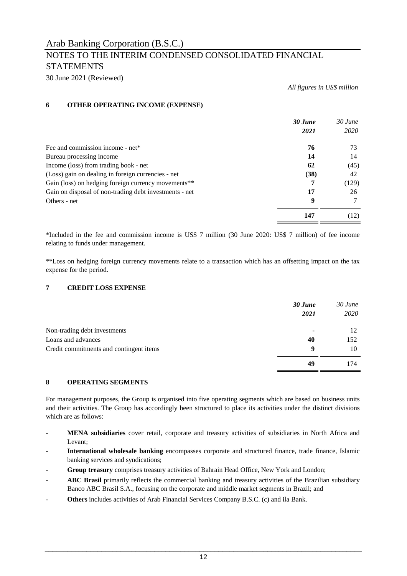30 June 2021 (Reviewed)

*All figures in US\$ million*

# **6 OTHER OPERATING INCOME (EXPENSE)**

|                                                        | 30 June | $30$ June |
|--------------------------------------------------------|---------|-----------|
|                                                        | 2021    | 2020      |
| Fee and commission income - net*                       | 76      | 73        |
| Bureau processing income                               | 14      | 14        |
| Income (loss) from trading book - net                  | 62      | (45)      |
| (Loss) gain on dealing in foreign currencies - net     | (38)    | 42        |
| Gain (loss) on hedging foreign currency movements**    | 7       | (129)     |
| Gain on disposal of non-trading debt investments - net | 17      | 26        |
| Others - net                                           | 9       |           |
|                                                        | 147     | (12)      |

\*Included in the fee and commission income is US\$ 7 million (30 June 2020: US\$ 7 million) of fee income relating to funds under management.

\*\*Loss on hedging foreign currency movements relate to a transaction which has an offsetting impact on the tax expense for the period.

# **7 CREDIT LOSS EXPENSE**

|                                         | 30 June | $30$ June |
|-----------------------------------------|---------|-----------|
|                                         | 2021    | 2020      |
| Non-trading debt investments            | -       | 12        |
| Loans and advances                      | 40      | 152       |
| Credit commitments and contingent items | 9       | 10        |
|                                         | 49      | 174       |

### **8 OPERATING SEGMENTS**

For management purposes, the Group is organised into five operating segments which are based on business units and their activities. The Group has accordingly been structured to place its activities under the distinct divisions which are as follows:

- **MENA subsidiaries** cover retail, corporate and treasury activities of subsidiaries in North Africa and Levant;
- **International wholesale banking** encompasses corporate and structured finance, trade finance, Islamic banking services and syndications;
- **Group treasury** comprises treasury activities of Bahrain Head Office, New York and London;
- **ABC Brasil** primarily reflects the commercial banking and treasury activities of the Brazilian subsidiary Banco ABC Brasil S.A., focusing on the corporate and middle market segments in Brazil; and
- **Others** includes activities of Arab Financial Services Company B.S.C. (c) and ila Bank.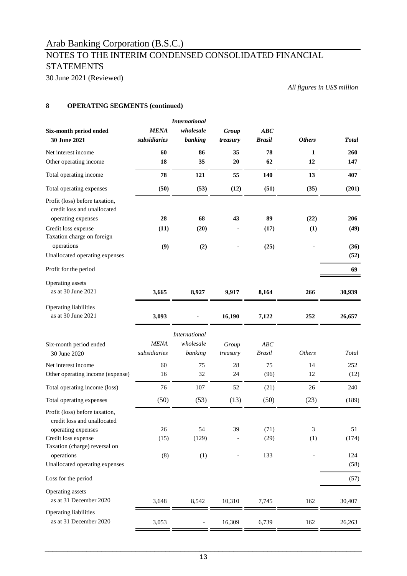# NOTES TO THE INTERIM CONDENSED CONSOLIDATED FINANCIAL **STATEMENTS**

30 June 2021 (Reviewed)

*All figures in US\$ million*

# **8 OPERATING SEGMENTS (continued)**

|                                                                                                                                                           |                             | <b>International</b>                         |                   |                      |               |                    |
|-----------------------------------------------------------------------------------------------------------------------------------------------------------|-----------------------------|----------------------------------------------|-------------------|----------------------|---------------|--------------------|
| Six-month period ended                                                                                                                                    | <b>MENA</b>                 | wholesale                                    | Group             | ABC                  |               |                    |
| 30 June 2021                                                                                                                                              | subsidiaries                | banking                                      | treasury          | <b>Brasil</b>        | <b>Others</b> | <b>Total</b>       |
| Net interest income                                                                                                                                       | 60                          | 86                                           | 35                | 78                   | 1             | 260                |
| Other operating income                                                                                                                                    | 18                          | 35                                           | 20                | 62                   | 12            | 147                |
| Total operating income                                                                                                                                    | 78                          | 121                                          | 55                | 140                  | 13            | 407                |
| Total operating expenses                                                                                                                                  | (50)                        | (53)                                         | (12)              | (51)                 | (35)          | (201)              |
| Profit (loss) before taxation,<br>credit loss and unallocated<br>operating expenses                                                                       | 28                          | 68                                           | 43                | 89                   | (22)          | 206                |
| Credit loss expense                                                                                                                                       | (11)                        | (20)                                         |                   | (17)                 | (1)           | (49)               |
| Taxation charge on foreign                                                                                                                                |                             |                                              |                   |                      |               |                    |
| operations                                                                                                                                                | (9)                         | (2)                                          |                   | (25)                 |               | (36)               |
| Unallocated operating expenses                                                                                                                            |                             |                                              |                   |                      |               | (52)               |
| Profit for the period                                                                                                                                     |                             |                                              |                   |                      |               | 69                 |
| Operating assets<br>as at 30 June 2021                                                                                                                    | 3,665                       | 8,927                                        | 9,917             | 8,164                | 266           | 30,939             |
| Operating liabilities<br>as at 30 June 2021                                                                                                               | 3,093                       |                                              | 16,190            | 7,122                | 252           | 26,657             |
| Six-month period ended<br>30 June 2020                                                                                                                    | <b>MENA</b><br>subsidiaries | <b>International</b><br>wholesale<br>banking | Group<br>treasury | ABC<br><b>Brasil</b> | <b>Others</b> | Total              |
| Net interest income                                                                                                                                       | 60                          | 75                                           | 28                | 75                   | 14            | 252                |
| Other operating income (expense)                                                                                                                          | 16                          | 32                                           | 24                | (96)                 | 12            | (12)               |
| Total operating income (loss)                                                                                                                             | 76                          | 107                                          | 52                | (21)                 | 26            | 240                |
| Total operating expenses                                                                                                                                  | (50)                        | (53)                                         | (13)              | (50)                 | (23)          | (189)              |
| Profit (loss) before taxation,<br>credit loss and unallocated<br>operating expenses<br>Credit loss expense<br>Taxation (charge) reversal on<br>operations | 26<br>(15)<br>(8)           | 54<br>(129)<br>(1)                           | 39                | (71)<br>(29)<br>133  | 3<br>(1)      | 51<br>(174)<br>124 |
| Unallocated operating expenses                                                                                                                            |                             |                                              |                   |                      |               | (58)               |
| Loss for the period                                                                                                                                       |                             |                                              |                   |                      |               | (57)               |
| Operating assets<br>as at 31 December 2020                                                                                                                | 3,648                       | 8,542                                        | 10,310            | 7,745                | 162           | 30,407             |
| Operating liabilities<br>as at 31 December 2020                                                                                                           | 3,053                       |                                              | 16,309            | 6,739                | 162           | 26,263             |
|                                                                                                                                                           |                             |                                              |                   |                      |               |                    |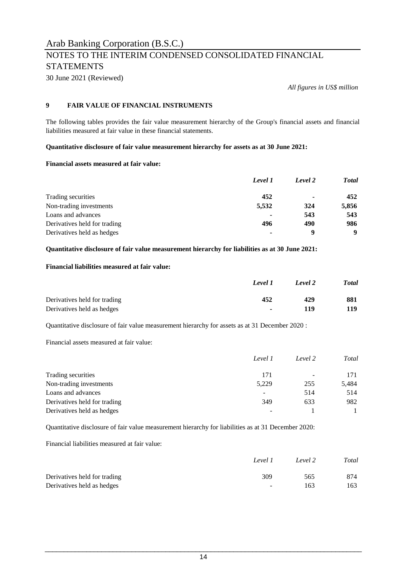30 June 2021 (Reviewed)

*All figures in US\$ million*

# **9 FAIR VALUE OF FINANCIAL INSTRUMENTS**

The following tables provides the fair value measurement hierarchy of the Group's financial assets and financial liabilities measured at fair value in these financial statements.

**Quantitative disclosure of fair value measurement hierarchy for assets as at 30 June 2021:**

# **Financial assets measured at fair value:**

|                              | Level 1 | Level 2 | <b>T</b> otal |
|------------------------------|---------|---------|---------------|
| Trading securities           | 452     | ۰       | 452           |
| Non-trading investments      | 5,532   | 324     | 5,856         |
| Loans and advances           |         | 543     | 543           |
| Derivatives held for trading | 496     | 490     | 986           |
| Derivatives held as hedges   | ۰       | q       | 9             |

### **Quantitative disclosure of fair value measurement hierarchy for liabilities as at 30 June 2021:**

### **Financial liabilities measured at fair value:**

|                              | Level 1 | Level 2 | <b>Total</b> |
|------------------------------|---------|---------|--------------|
| Derivatives held for trading | 452     | 429     | 881          |
| Derivatives held as hedges   | $\sim$  | 119     | 119          |

Quantitative disclosure of fair value measurement hierarchy for assets as at 31 December 2020 :

Financial assets measured at fair value:

|                              | Level 1 | Level 2                  | Total |
|------------------------------|---------|--------------------------|-------|
| Trading securities           | 171     | $\overline{\phantom{a}}$ | 171   |
| Non-trading investments      | 5,229   | 255                      | 5,484 |
| Loans and advances           | -       | 514                      | 514   |
| Derivatives held for trading | 349     | 633                      | 982   |
| Derivatives held as hedges   |         |                          |       |

Quantitative disclosure of fair value measurement hierarchy for liabilities as at 31 December 2020:

Financial liabilities measured at fair value:

|                              | Level 1 | Level 2 | Total |
|------------------------------|---------|---------|-------|
| Derivatives held for trading | 309     | 565     | 874   |
| Derivatives held as hedges   | $\sim$  | 163     | 163   |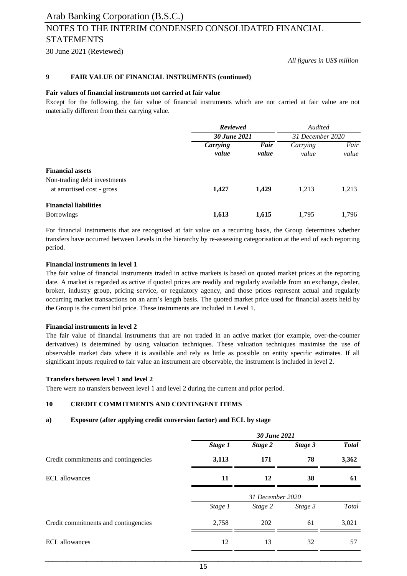30 June 2021 (Reviewed)

*All figures in US\$ million*

#### **9 FAIR VALUE OF FINANCIAL INSTRUMENTS (continued)**

#### **Fair values of financial instruments not carried at fair value**

Except for the following, the fair value of financial instruments which are not carried at fair value are not materially different from their carrying value.

|                                                           | <b>Reviewed</b>   |               | Audited           |               |
|-----------------------------------------------------------|-------------------|---------------|-------------------|---------------|
|                                                           | 30 June 2021      |               | 31 December 2020  |               |
|                                                           | Carrying<br>value | Fair<br>value | Carrying<br>value | Fair<br>value |
| <b>Financial assets</b>                                   |                   |               |                   |               |
| Non-trading debt investments<br>at amortised cost - gross | 1,427             | 1,429         | 1,213             | 1,213         |
| <b>Financial liabilities</b><br><b>Borrowings</b>         | 1,613             | 1,615         | 1,795             | 1,796         |

For financial instruments that are recognised at fair value on a recurring basis, the Group determines whether transfers have occurred between Levels in the hierarchy by re-assessing categorisation at the end of each reporting period.

#### **Financial instruments in level 1**

The fair value of financial instruments traded in active markets is based on quoted market prices at the reporting date. A market is regarded as active if quoted prices are readily and regularly available from an exchange, dealer, broker, industry group, pricing service, or regulatory agency, and those prices represent actual and regularly occurring market transactions on an arm's length basis. The quoted market price used for financial assets held by the Group is the current bid price. These instruments are included in Level 1.

#### **Financial instruments in level 2**

The fair value of financial instruments that are not traded in an active market (for example, over-the-counter derivatives) is determined by using valuation techniques. These valuation techniques maximise the use of observable market data where it is available and rely as little as possible on entity specific estimates. If all significant inputs required to fair value an instrument are observable, the instrument is included in level 2.

### **Transfers between level 1 and level 2**

There were no transfers between level 1 and level 2 during the current and prior period.

### **10 CREDIT COMMITMENTS AND CONTINGENT ITEMS**

### **a) Exposure (after applying credit conversion factor) and ECL by stage**

|                                      | 30 June 2021 |                  |         |              |  |
|--------------------------------------|--------------|------------------|---------|--------------|--|
|                                      | Stage 1      | Stage 2          | Stage 3 | <b>Total</b> |  |
| Credit commitments and contingencies | 3,113        | 171              | 78      | 3,362        |  |
| <b>ECL</b> allowances                | 11           | 12               | 38      | 61           |  |
|                                      |              | 31 December 2020 |         |              |  |
|                                      | Stage 1      | Stage 2          | Stage 3 | Total        |  |
| Credit commitments and contingencies | 2,758        | 202              | 61      | 3,021        |  |
| <b>ECL</b> allowances                | 12           | 13               | 32      | 57           |  |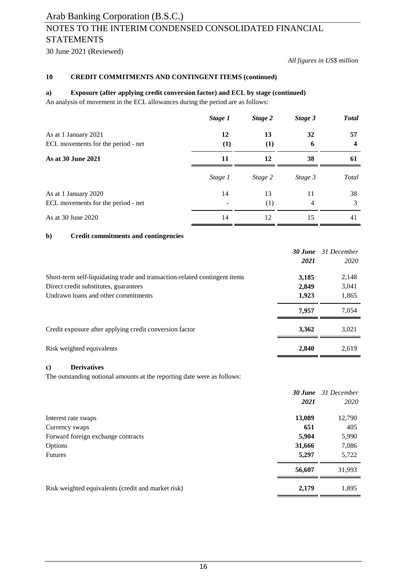30 June 2021 (Reviewed)

### *All figures in US\$ million*

### **10 CREDIT COMMITMENTS AND CONTINGENT ITEMS (continued)**

### **a) Exposure (after applying credit conversion factor) and ECL by stage (continued)**

An analysis of movement in the ECL allowances during the period are as follows:

|                                    | Stage 1          | Stage 2 | Stage 3 | <b>Total</b> |
|------------------------------------|------------------|---------|---------|--------------|
| As at 1 January 2021               | 12               | 13      | 32      | 57           |
| ECL movements for the period - net | $\left(1\right)$ | (1)     | 6       |              |
| As at 30 June 2021                 | 11               | 12      | 38      | 61           |
|                                    | Stage 1          | Stage 2 | Stage 3 | Total        |
| As at 1 January 2020               | 14               | 13      | 11      | 38           |
| ECL movements for the period - net |                  | (1)     | 4       | 3            |
| As at 30 June 2020                 | 14               | 12      | 15      | 41           |

### **b) Credit commitments and contingencies**

|                                                                            | 30 June | 31 December |
|----------------------------------------------------------------------------|---------|-------------|
|                                                                            | 2021    | 2020        |
| Short-term self-liquidating trade and transaction-related contingent items | 3,185   | 2,148       |
| Direct credit substitutes, guarantees                                      | 2,849   | 3,041       |
| Undrawn loans and other commitments                                        | 1,923   | 1,865       |
|                                                                            | 7.957   | 7,054       |
| Credit exposure after applying credit conversion factor                    | 3,362   | 3,021       |
| Risk weighted equivalents                                                  | 2.840   | 2,619       |

### **c) Derivatives**

The outstanding notional amounts at the reporting date were as follows:

|                                                    |        | <b>30 June</b> 31 December |
|----------------------------------------------------|--------|----------------------------|
|                                                    | 2021   | 2020                       |
| Interest rate swaps                                | 13,089 | 12,790                     |
| Currency swaps                                     | 651    | 405                        |
| Forward foreign exchange contracts                 | 5,904  | 5,990                      |
| Options                                            | 31,666 | 7,086                      |
| <b>Futures</b>                                     | 5,297  | 5,722                      |
|                                                    | 56,607 | 31,993                     |
| Risk weighted equivalents (credit and market risk) | 2,179  | 1,895                      |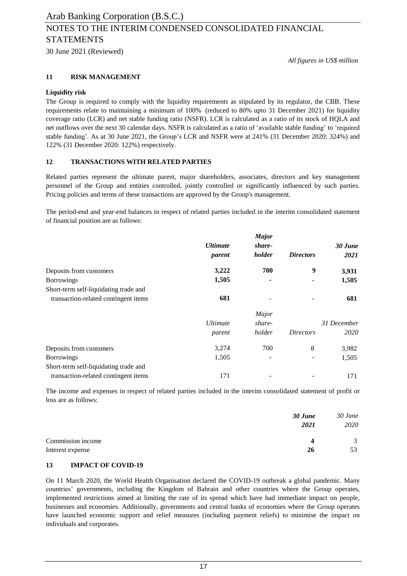30 June 2021 (Reviewed)

*All figures in US\$ million*

### **11 RISK MANAGEMENT**

### **Liquidity risk**

The Group is required to comply with the liquidity requirements as stipulated by its regulator, the CBB. These requirements relate to maintaining a minimum of 100% (reduced to 80% upto 31 December 2021) for liquidity coverage ratio (LCR) and net stable funding ratio (NSFR). LCR is calculated as a ratio of its stock of HQLA and net outflows over the next 30 calendar days. NSFR is calculated as a ratio of 'available stable funding' to 'required stable funding'. As at 30 June 2021, the Group's LCR and NSFR were at 241% (31 December 2020: 324%) and 122% (31 December 2020: 122%) respectively.

### **12 TRANSACTIONS WITH RELATED PARTIES**

Related parties represent the ultimate parent, major shareholders, associates, directors and key management personnel of the Group and entities controlled, jointly controlled or significantly influenced by such parties. Pricing policies and terms of these transactions are approved by the Group's management.

The period-end and year-end balances in respect of related parties included in the interim consolidated statement of financial position are as follows:

|                                       |                        | <b>Major</b> |                  |             |
|---------------------------------------|------------------------|--------------|------------------|-------------|
|                                       | <i><b>Ultimate</b></i> | share-       |                  | 30 June     |
|                                       | parent                 | holder       | <i>Directors</i> | 2021        |
| Deposits from customers               | 3,222                  | 700          | 9                | 3,931       |
| <b>Borrowings</b>                     | 1,505                  |              |                  | 1,505       |
| Short-term self-liquidating trade and |                        |              |                  |             |
| transaction-related contingent items  | 681                    |              |                  | 681         |
|                                       |                        | Major        |                  |             |
|                                       | <i>Ultimate</i>        | share-       |                  | 31 December |
|                                       | parent                 | holder       | <i>Directors</i> | 2020        |
| Deposits from customers               | 3,274                  | 700          | 8                | 3,982       |
| <b>Borrowings</b>                     | 1,505                  |              |                  | 1,505       |
| Short-term self-liquidating trade and |                        |              |                  |             |
| transaction-related contingent items  | 171                    |              |                  | 171         |

The income and expenses in respect of related parties included in the interim consolidated statement of profit or loss are as follows:

|                   | 30 June<br>2021 | 30 June<br>2020 |
|-------------------|-----------------|-----------------|
| Commission income | 4               | 3               |
| Interest expense  | 26              | 53              |

### **13 IMPACT OF COVID-19**

On 11 March 2020, the World Health Organisation declared the COVID-19 outbreak a global pandemic. Many countries' governments, including the Kingdom of Bahrain and other countries where the Group operates, implemented restrictions aimed at limiting the rate of its spread which have had immediate impact on people, businesses and economies. Additionally, governments and central banks of economies where the Group operates have launched economic support and relief measures (including payment reliefs) to minimise the impact on individuals and corporates.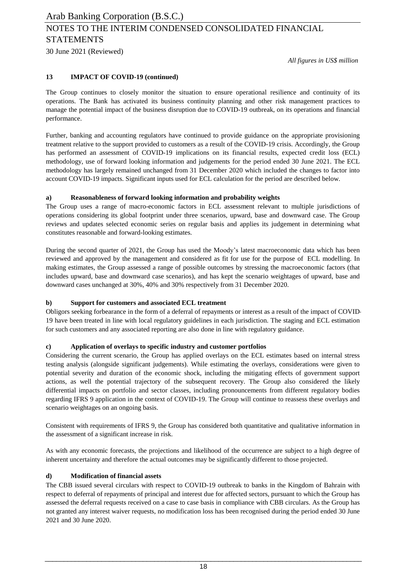*All figures in US\$ million*

### **13 IMPACT OF COVID-19 (continued)**

The Group continues to closely monitor the situation to ensure operational resilience and continuity of its operations. The Bank has activated its business continuity planning and other risk management practices to manage the potential impact of the business disruption due to COVID-19 outbreak, on its operations and financial performance.

Further, banking and accounting regulators have continued to provide guidance on the appropriate provisioning treatment relative to the support provided to customers as a result of the COVID-19 crisis. Accordingly, the Group has performed an assessment of COVID-19 implications on its financial results, expected credit loss (ECL) methodology, use of forward looking information and judgements for the period ended 30 June 2021. The ECL methodology has largely remained unchanged from 31 December 2020 which included the changes to factor into account COVID-19 impacts. Significant inputs used for ECL calculation for the period are described below.

### **a) Reasonableness of forward looking information and probability weights**

The Group uses a range of macro-economic factors in ECL assessment relevant to multiple jurisdictions of operations considering its global footprint under three scenarios, upward, base and downward case. The Group reviews and updates selected economic series on regular basis and applies its judgement in determining what constitutes reasonable and forward-looking estimates.

During the second quarter of 2021, the Group has used the Moody's latest macroeconomic data which has been reviewed and approved by the management and considered as fit for use for the purpose of ECL modelling. In making estimates, the Group assessed a range of possible outcomes by stressing the macroeconomic factors (that includes upward, base and downward case scenarios), and has kept the scenario weightages of upward, base and downward cases unchanged at 30%, 40% and 30% respectively from 31 December 2020.

### **b) Support for customers and associated ECL treatment**

Obligors seeking forbearance in the form of a deferral of repayments or interest as a result of the impact of COVID-19 have been treated in line with local regulatory guidelines in each jurisdiction. The staging and ECL estimation for such customers and any associated reporting are also done in line with regulatory guidance.

## **c) Application of overlays to specific industry and customer portfolios**

Considering the current scenario, the Group has applied overlays on the ECL estimates based on internal stress testing analysis (alongside significant judgements). While estimating the overlays, considerations were given to potential severity and duration of the economic shock, including the mitigating effects of government support actions, as well the potential trajectory of the subsequent recovery. The Group also considered the likely differential impacts on portfolio and sector classes, including pronouncements from different regulatory bodies regarding IFRS 9 application in the context of COVID-19. The Group will continue to reassess these overlays and scenario weightages on an ongoing basis.

Consistent with requirements of IFRS 9, the Group has considered both quantitative and qualitative information in the assessment of a significant increase in risk.

As with any economic forecasts, the projections and likelihood of the occurrence are subject to a high degree of inherent uncertainty and therefore the actual outcomes may be significantly different to those projected.

### **d) Modification of financial assets**

The CBB issued several circulars with respect to COVID-19 outbreak to banks in the Kingdom of Bahrain with respect to deferral of repayments of principal and interest due for affected sectors, pursuant to which the Group has assessed the deferral requests received on a case to case basis in compliance with CBB circulars. As the Group has not granted any interest waiver requests, no modification loss has been recognised during the period ended 30 June 2021 and 30 June 2020.